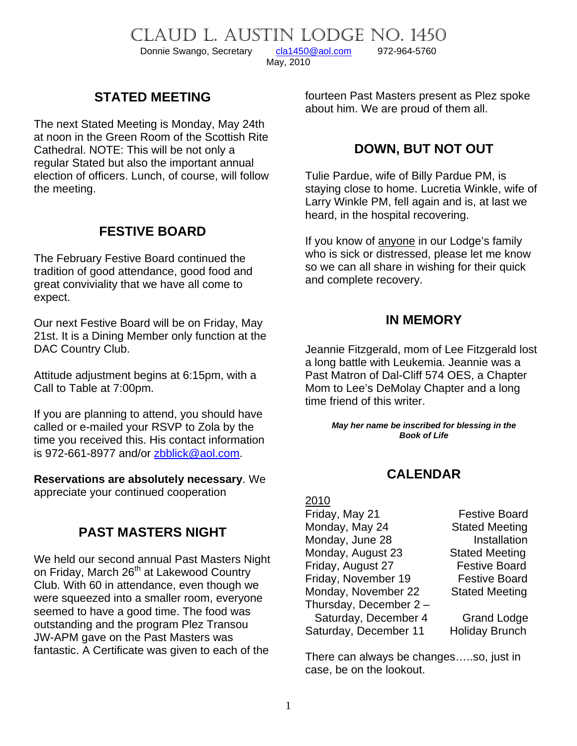CLAUD L. AUSTIN LODGE NO. 1450

Donnie Swango, Secretary [cla1450@aol.com](mailto:cla1450@aol.com) 972-964-5760

May, 2010

# **STATED MEETING**

The next Stated Meeting is Monday, May 24th at noon in the Green Room of the Scottish Rite Cathedral. NOTE: This will be not only a regular Stated but also the important annual election of officers. Lunch, of course, will follow the meeting.

# **FESTIVE BOARD**

The February Festive Board continued the tradition of good attendance, good food and great conviviality that we have all come to expect.

Our next Festive Board will be on Friday, May 21st. It is a Dining Member only function at the DAC Country Club.

Attitude adjustment begins at 6:15pm, with a Call to Table at 7:00pm.

If you are planning to attend, you should have called or e-mailed your RSVP to Zola by the time you received this. His contact information is 972-661-8977 and/or **zbblick@aol.com.** 

**Reservations are absolutely necessary**. We appreciate your continued cooperation

# **PAST MASTERS NIGHT**

We held our second annual Past Masters Night on Friday, March 26<sup>th</sup> at Lakewood Country Club. With 60 in attendance, even though we were squeezed into a smaller room, everyone seemed to have a good time. The food was outstanding and the program Plez Transou JW-APM gave on the Past Masters was fantastic. A Certificate was given to each of the

fourteen Past Masters present as Plez spoke about him. We are proud of them all.

### **DOWN, BUT NOT OUT**

Tulie Pardue, wife of Billy Pardue PM, is staying close to home. Lucretia Winkle, wife of Larry Winkle PM, fell again and is, at last we heard, in the hospital recovering.

If you know of anyone in our Lodge's family who is sick or distressed, please let me know so we can all share in wishing for their quick and complete recovery.

#### **IN MEMORY**

Jeannie Fitzgerald, mom of Lee Fitzgerald lost a long battle with Leukemia. Jeannie was a Past Matron of Dal-Cliff 574 OES, a Chapter Mom to Lee's DeMolay Chapter and a long time friend of this writer.

> *May her name be inscribed for blessing in the Book of Life*

## **CALENDAR**

| 2010                  |                       |
|-----------------------|-----------------------|
| Friday, May 21        | <b>Festive Board</b>  |
| Monday, May 24        | <b>Stated Meeting</b> |
| Monday, June 28       | Installation          |
| Monday, August 23     | <b>Stated Meeting</b> |
| Friday, August 27     | <b>Festive Board</b>  |
| Friday, November 19   | <b>Festive Board</b>  |
| Monday, November 22   | <b>Stated Meeting</b> |
| Thursday, December 2- |                       |
| Saturday, December 4  | <b>Grand Lodge</b>    |
| Saturday, December 11 | <b>Holiday Brunch</b> |

There can always be changes…..so, just in case, be on the lookout.